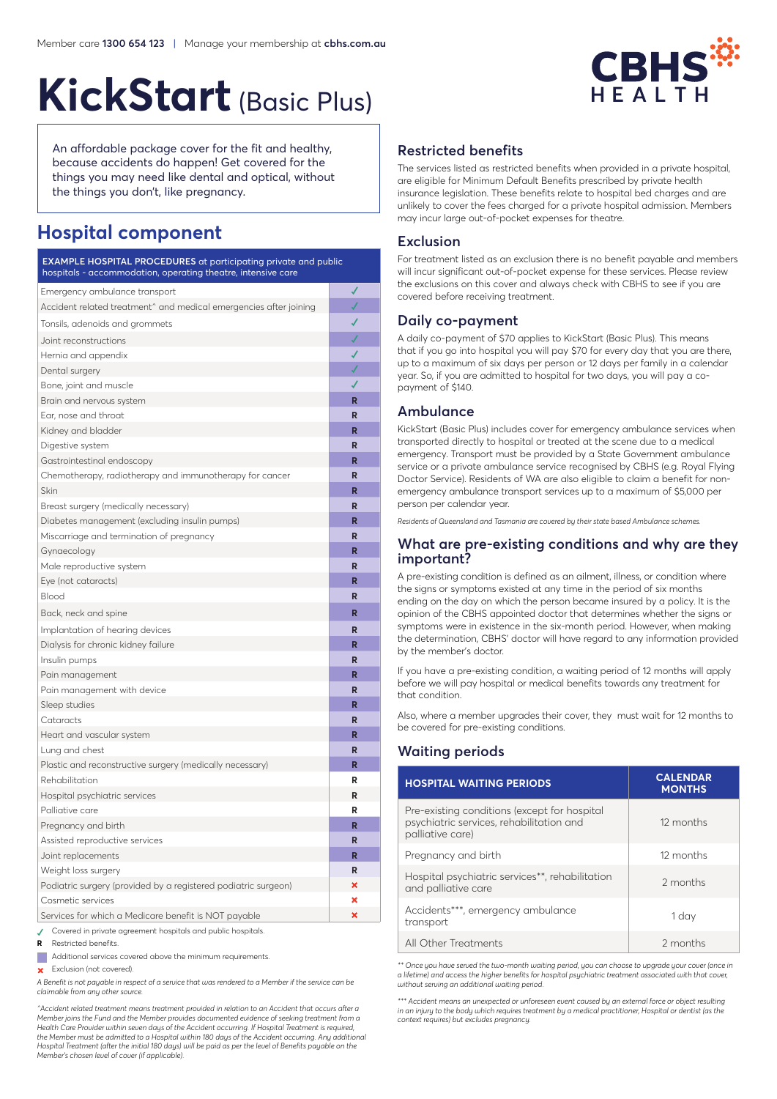# **CBHS** HFAITH

# **KickStart**(Basic Plus)

An affordable package cover for the fit and healthy, because accidents do happen! Get covered for the things you may need like dental and optical, without the things you don't, like pregnancy.

# **Hospital component**

| <b>EXAMPLE HOSPITAL PROCEDURES</b> at participating private and public<br>hospitals - accommodation, operating theatre, intensive care |   |  |
|----------------------------------------------------------------------------------------------------------------------------------------|---|--|
| Emergency ambulance transport                                                                                                          |   |  |
| Accident related treatment^ and medical emergencies after joining                                                                      |   |  |
| Tonsils, adenoids and grommets                                                                                                         |   |  |
| Joint reconstructions                                                                                                                  |   |  |
| Hernia and appendix                                                                                                                    |   |  |
| Dental surgery                                                                                                                         |   |  |
| Bone, joint and muscle                                                                                                                 | J |  |
| Brain and nervous system                                                                                                               | R |  |
| Ear, nose and throat                                                                                                                   | R |  |
| Kidney and bladder                                                                                                                     | R |  |
| Digestive system                                                                                                                       | R |  |
| Gastrointestinal endoscopy                                                                                                             | R |  |
| Chemotherapy, radiotherapy and immunotherapy for cancer                                                                                | R |  |
| Skin                                                                                                                                   | R |  |
| Breast surgery (medically necessary)                                                                                                   | R |  |
| Diabetes management (excluding insulin pumps)                                                                                          | R |  |
| Miscarriage and termination of pregnancy                                                                                               | R |  |
| Gynaecology                                                                                                                            | R |  |
| Male reproductive system                                                                                                               | R |  |
| Eye (not cataracts)                                                                                                                    | R |  |
| Blood                                                                                                                                  | R |  |
| Back, neck and spine                                                                                                                   | R |  |
| Implantation of hearing devices                                                                                                        | R |  |
| Dialysis for chronic kidney failure                                                                                                    | R |  |
| Insulin pumps                                                                                                                          | R |  |
| Pain management                                                                                                                        | R |  |
| Pain management with device                                                                                                            | R |  |
| Sleep studies                                                                                                                          | R |  |
| Cataracts                                                                                                                              | R |  |
| Heart and vascular system                                                                                                              | R |  |
| Lung and chest                                                                                                                         | R |  |
| Plastic and reconstructive surgery (medically necessary)                                                                               | R |  |
| Rehabilitation                                                                                                                         | R |  |
| Hospital psychiatric services                                                                                                          | R |  |
| Palliative care                                                                                                                        | R |  |
| Pregnancy and birth                                                                                                                    | R |  |
| Assisted reproductive services                                                                                                         | R |  |
| Joint replacements                                                                                                                     | R |  |
| Weight loss surgery                                                                                                                    | R |  |
| Podiatric surgery (provided by a registered podiatric surgeon)                                                                         | × |  |
| Cosmetic services                                                                                                                      | × |  |
| Services for which a Medicare benefit is NOT payable                                                                                   | × |  |
| Covered in private agreement hospitals and public hospitals.<br>etricted benefite                                                      |   |  |

**<sup>R</sup>**  Restricted benefits.

 Additional services covered above the minimum requirements.

 Exclusion (not covered).

*A Benefit is not payable in respect of a service that was rendered to a Member if the service can be claimable from any other source.*

*^Accident related treatment means treatment provided in relation to an Accident that occurs after a Member joins the Fund and the Member provides documented evidence of seeking treatment from a*  Health Care Provider within seven days of the Accident occurring. If Hospital Treatment is required,<br>the Member must be admitted to a Hospital within 180 days of the Accident occurring. Any additional *Hospital Treatment (after the initial 180 days) will be paid as per the level of Benefits payable on the Member's chosen level of cover (if applicable).*

# **Restricted benefits**

The services listed as restricted benefits when provided in a private hospital, are eligible for Minimum Default Benefits prescribed by private health insurance legislation. These benefits relate to hospital bed charges and are unlikely to cover the fees charged for a private hospital admission. Members may incur large out-of-pocket expenses for theatre.

## **Exclusion**

For treatment listed as an exclusion there is no benefit payable and members will incur significant out-of-pocket expense for these services. Please review the exclusions on this cover and always check with CBHS to see if you are covered before receiving treatment.

#### **Daily co-payment**

A daily co-payment of \$70 applies to KickStart (Basic Plus). This means that if you go into hospital you will pay \$70 for every day that you are there, up to a maximum of six days per person or 12 days per family in a calendar year. So, if you are admitted to hospital for two days, you will pay a copayment of \$140.

#### **Ambulance**

KickStart (Basic Plus) includes cover for emergency ambulance services when transported directly to hospital or treated at the scene due to a medical emergency. Transport must be provided by a State Government ambulance service or a private ambulance service recognised by CBHS (e.g. Royal Flying Doctor Service). Residents of WA are also eligible to claim a benefit for nonemergency ambulance transport services up to a maximum of \$5,000 per person per calendar year.

*Residents of Queensland and Tasmania are covered by their state based Ambulance schemes.*

#### **What are pre-existing conditions and why are they important?**

A pre-existing condition is defined as an ailment, illness, or condition where the signs or symptoms existed at any time in the period of six months ending on the day on which the person became insured by a policy. It is the opinion of the CBHS appointed doctor that determines whether the signs or symptoms were in existence in the six-month period. However, when making the determination, CBHS' doctor will have regard to any information provided by the member's doctor.

If you have a pre-existing condition, a waiting period of 12 months will apply before we will pay hospital or medical benefits towards any treatment for that condition.

Also, where a member upgrades their cover, they must wait for 12 months to be covered for pre-existing conditions.

## **Waiting periods**

| <b>HOSPITAL WAITING PERIODS</b>                                                                              | <b>CALENDAR</b><br><b>MONTHS</b> |  |
|--------------------------------------------------------------------------------------------------------------|----------------------------------|--|
| Pre-existing conditions (except for hospital<br>psychiatric services, rehabilitation and<br>palliative care) | 12 months                        |  |
| Pregnancy and birth                                                                                          | 12 months                        |  |
| Hospital psychiatric services**, rehabilitation<br>and palliative care                                       | 2 months                         |  |
| Accidents***, emergency ambulance<br>transport                                                               | 1 day                            |  |
| All Other Treatments                                                                                         | 2 months                         |  |

*\*\* Once you have served the two-month waiting period, you can choose to upgrade your cover (once in a lifetime) and access the higher benefits for hospital psychiatric treatment associated with that cover, without serving an additional waiting period.* 

*\*\*\* Accident means an unexpected or unforeseen event caused by an external force or object resulting in an injury to the body which requires treatment by a medical practitioner, Hospital or dentist (as the context requires) but excludes pregnancy.*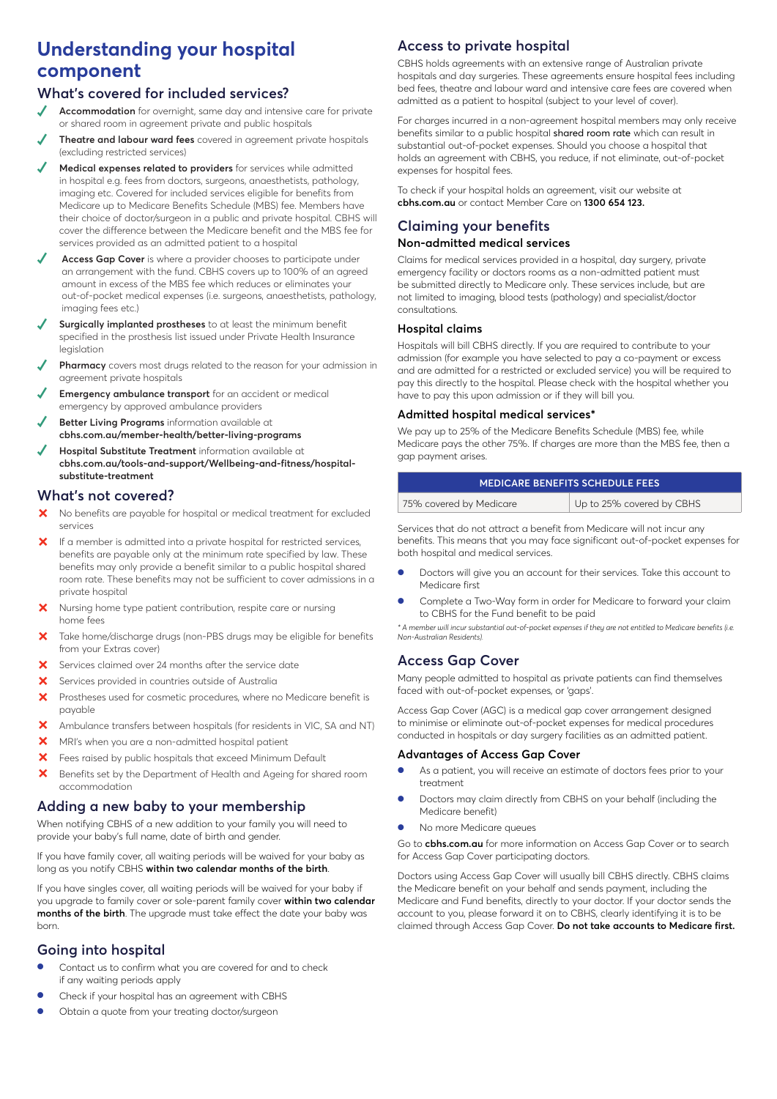# **Understanding your hospital component**

# **What's covered for included services?**

- **Accommodation** for overnight, same day and intensive care for private or shared room in agreement private and public hospitals
- **✓ Theatre and labour ward fees** covered in agreement private hospitals (excluding restricted services)
- **Medical expenses related to providers** for services while admitted in hospital e.g. fees from doctors, surgeons, anaesthetists, pathology, imaging etc. Covered for included services eligible for benefits from Medicare up to Medicare Benefits Schedule (MBS) fee. Members have their choice of doctor/surgeon in a public and private hospital. CBHS will cover the difference between the Medicare benefit and the MBS fee for services provided as an admitted patient to a hospital
- Access Gap Cover is where a provider chooses to participate under an arrangement with the fund. CBHS covers up to 100% of an agreed amount in excess of the MBS fee which reduces or eliminates your out-of-pocket medical expenses (i.e. surgeons, anaesthetists, pathology, imaging fees etc.)
- Surgically implanted prostheses to at least the minimum benefit specified in the prosthesis list issued under Private Health Insurance legislation
- **Pharmacy** covers most drugs related to the reason for your admission in agreement private hospitals
- **Emergency ambulance transport** for an accident or medical emergency by approved ambulance providers
- **Better Living Programs** information available at **cbhs.com.au/member-health/better-living-programs**
- **Hospital Substitute Treatment** information available at **cbhs.com.au/tools-and-support/Wellbeing-and-fitness/hospitalsubstitute-treatment**

# **What's not covered?**

- X No benefits are payable for hospital or medical treatment for excluded services
- $\mathsf{\times}\;$  If a member is admitted into a private hospital for restricted services, benefits are payable only at the minimum rate specified by law. These benefits may only provide a benefit similar to a public hospital shared room rate. These benefits may not be sufficient to cover admissions in a private hospital
- Nursing home type patient contribution, respite care or nursing home fees
- Take home/discharge drugs (non-PBS drugs may be eligible for benefits from your Extras cover)
- $\mathsf{\times}$  Services claimed over 24 months after the service date
- **X** Services provided in countries outside of Australia
- X Prostheses used for cosmetic procedures, where no Medicare benefit is payable
- ³ Ambulance transfers between hospitals (for residents in VIC, SA and NT)
- **X** MRI's when you are a non-admitted hospital patient
- **X** Fees raised by public hospitals that exceed Minimum Default
- X Benefits set by the Department of Health and Ageing for shared room accommodation

# **Adding a new baby to your membership**

When notifying CBHS of a new addition to your family you will need to provide your baby's full name, date of birth and gender.

If you have family cover, all waiting periods will be waived for your baby as long as you notify CBHS **within two calendar months of the birth**.

If you have singles cover, all waiting periods will be waived for your baby if you upgrade to family cover or sole-parent family cover **within two calendar months of the birth**. The upgrade must take effect the date your baby was born.

# **Going into hospital**

- Contact us to confirm what you are covered for and to check if any waiting periods apply
- Check if your hospital has an agreement with CBHS
- Obtain a quote from your treating doctor/surgeon

# **Access to private hospital**

CBHS holds agreements with an extensive range of Australian private hospitals and day surgeries. These agreements ensure hospital fees including bed fees, theatre and labour ward and intensive care fees are covered when admitted as a patient to hospital (subject to your level of cover).

For charges incurred in a non-agreement hospital members may only receive benefits similar to a public hospital shared room rate which can result in substantial out-of-pocket expenses. Should you choose a hospital that holds an agreement with CBHS, you reduce, if not eliminate, out-of-pocket expenses for hospital fees.

To check if your hospital holds an agreement, visit our website at **cbhs.com.au** or contact Member Care on **1300 654 123.**

# **Claiming your benefits**

#### **Non-admitted medical services**

Claims for medical services provided in a hospital, day surgery, private emergency facility or doctors rooms as a non-admitted patient must be submitted directly to Medicare only. These services include, but are not limited to imaging, blood tests (pathology) and specialist/doctor consultations.

#### **Hospital claims**

Hospitals will bill CBHS directly. If you are required to contribute to your admission (for example you have selected to pay a co-payment or excess and are admitted for a restricted or excluded service) you will be required to pay this directly to the hospital. Please check with the hospital whether you have to pay this upon admission or if they will bill you.

#### **Admitted hospital medical services\***

We pay up to 25% of the Medicare Benefits Schedule (MBS) fee, while Medicare pays the other 75%. If charges are more than the MBS fee, then a gap payment arises.

| <b>IMEDICARE BENEFITS SCHEDULE FEES</b> |                           |  |
|-----------------------------------------|---------------------------|--|
| 75% covered by Medicare                 | Up to 25% covered by CBHS |  |

Services that do not attract a benefit from Medicare will not incur any benefits. This means that you may face significant out-of-pocket expenses for both hospital and medical services.

- Doctors will give you an account for their services. Take this account to Medicare first
- Complete a Two-Way form in order for Medicare to forward your claim to CBHS for the Fund benefit to be paid

*\* A member will incur substantial out-of-pocket expenses if they are not entitled to Medicare benefits (i.e. Non-Australian Residents).*

## **Access Gap Cover**

Many people admitted to hospital as private patients can find themselves faced with out-of-pocket expenses, or 'gaps'.

Access Gap Cover (AGC) is a medical gap cover arrangement designed to minimise or eliminate out-of-pocket expenses for medical procedures conducted in hospitals or day surgery facilities as an admitted patient.

#### **Advantages of Access Gap Cover**

- As a patient, you will receive an estimate of doctors fees prior to your treatment
- Doctors may claim directly from CBHS on your behalf (including the Medicare benefit)
- No more Medicare queues

Go to **cbhs.com.au** for more information on Access Gap Cover or to search for Access Gap Cover participating doctors.

Doctors using Access Gap Cover will usually bill CBHS directly. CBHS claims the Medicare benefit on your behalf and sends payment, including the Medicare and Fund benefits, directly to your doctor. If your doctor sends the account to you, please forward it on to CBHS, clearly identifying it is to be claimed through Access Gap Cover. **Do not take accounts to Medicare first.**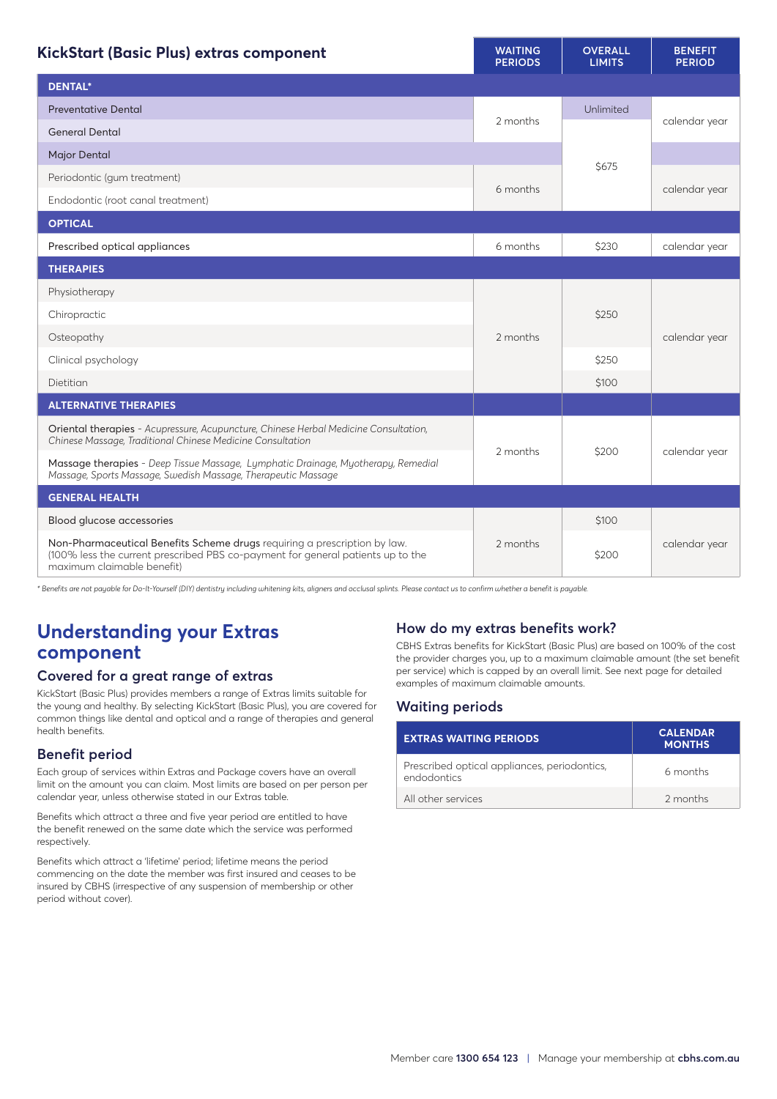| KickStart (Basic Plus) extras component                                                                                                                                                    | <b>WAITING</b><br><b>PERIODS</b> | <b>OVERALL</b><br><b>LIMITS</b> | <b>BENEFIT</b><br><b>PERIOD</b> |
|--------------------------------------------------------------------------------------------------------------------------------------------------------------------------------------------|----------------------------------|---------------------------------|---------------------------------|
| <b>DENTAL*</b>                                                                                                                                                                             |                                  |                                 |                                 |
| <b>Preventative Dental</b>                                                                                                                                                                 |                                  | Unlimited                       |                                 |
| <b>General Dental</b>                                                                                                                                                                      | 2 months                         |                                 | calendar year                   |
| <b>Major Dental</b>                                                                                                                                                                        |                                  |                                 |                                 |
| Periodontic (gum treatment)                                                                                                                                                                |                                  | \$675                           |                                 |
| Endodontic (root canal treatment)                                                                                                                                                          | 6 months                         |                                 | calendar year                   |
| <b>OPTICAL</b>                                                                                                                                                                             |                                  |                                 |                                 |
| Prescribed optical appliances                                                                                                                                                              | 6 months                         | \$230                           | calendar year                   |
| <b>THERAPIES</b>                                                                                                                                                                           |                                  |                                 |                                 |
| Physiotherapy                                                                                                                                                                              |                                  |                                 |                                 |
| Chiropractic                                                                                                                                                                               | 2 months                         | \$250                           |                                 |
| Osteopathy                                                                                                                                                                                 |                                  |                                 | calendar year                   |
| Clinical psychology                                                                                                                                                                        |                                  | \$250                           |                                 |
| Dietitian                                                                                                                                                                                  |                                  | \$100                           |                                 |
| <b>ALTERNATIVE THERAPIES</b>                                                                                                                                                               |                                  |                                 |                                 |
| Oriental therapies - Acupressure, Acupuncture, Chinese Herbal Medicine Consultation,<br>Chinese Massage, Traditional Chinese Medicine Consultation                                         | 2 months                         | \$200                           |                                 |
| Massage therapies - Deep Tissue Massage, Lymphatic Drainage, Myotherapy, Remedial<br>Massage, Sports Massage, Swedish Massage, Therapeutic Massage                                         |                                  |                                 | calendar year                   |
| <b>GENERAL HEALTH</b>                                                                                                                                                                      |                                  |                                 |                                 |
| Blood glucose accessories                                                                                                                                                                  | 2 months                         | \$100                           |                                 |
| Non-Pharmaceutical Benefits Scheme drugs requiring a prescription by law.<br>(100% less the current prescribed PBS co-payment for general patients up to the<br>maximum claimable benefit) |                                  | \$200                           | calendar year                   |

*\* Benefits are not payable for Do-It-Yourself (DIY) dentistry including whitening kits, aligners and occlusal splints. Please contact us to confirm whether a benefit is payable.*

# **Understanding your Extras component**

## **Covered for a great range of extras**

KickStart (Basic Plus) provides members a range of Extras limits suitable for the young and healthy. By selecting KickStart (Basic Plus), you are covered for common things like dental and optical and a range of therapies and general health benefits.

## **Benefit period**

Each group of services within Extras and Package covers have an overall limit on the amount you can claim. Most limits are based on per person per calendar year, unless otherwise stated in our Extras table.

Benefits which attract a three and five year period are entitled to have the benefit renewed on the same date which the service was performed respectively.

Benefits which attract a 'lifetime' period; lifetime means the period commencing on the date the member was first insured and ceases to be insured by CBHS (irrespective of any suspension of membership or other period without cover).

# **How do my extras benefits work?**

CBHS Extras benefits for KickStart (Basic Plus) are based on 100% of the cost the provider charges you, up to a maximum claimable amount (the set benefit per service) which is capped by an overall limit. See next page for detailed examples of maximum claimable amounts.

## **Waiting periods**

| <b>EXTRAS WAITING PERIODS</b>                               | <b>CALENDAR</b><br><b>MONTHS</b> |
|-------------------------------------------------------------|----------------------------------|
| Prescribed optical appliances, periodontics,<br>endodontics | 6 months                         |
| All other services                                          | 2 months                         |